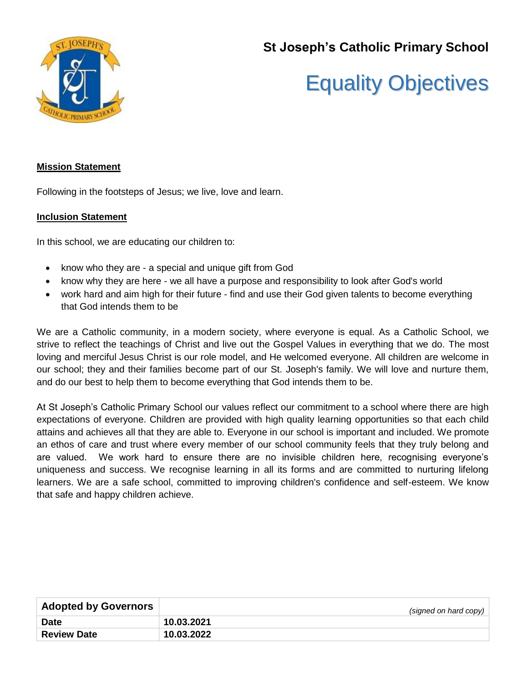

# **St Joseph's Catholic Primary School**

# Equality Objectives

# **Mission Statement**

Following in the footsteps of Jesus; we live, love and learn.

# **Inclusion Statement**

In this school, we are educating our children to:

- know who they are a special and unique gift from God
- know why they are here we all have a purpose and responsibility to look after God's world
- work hard and aim high for their future find and use their God given talents to become everything that God intends them to be

We are a Catholic community, in a modern society, where everyone is equal. As a Catholic School, we strive to reflect the teachings of Christ and live out the Gospel Values in everything that we do. The most loving and merciful Jesus Christ is our role model, and He welcomed everyone. All children are welcome in our school; they and their families become part of our St. Joseph's family. We will love and nurture them, and do our best to help them to become everything that God intends them to be.

At St Joseph's Catholic Primary School our values reflect our commitment to a school where there are high expectations of everyone. Children are provided with high quality learning opportunities so that each child attains and achieves all that they are able to. Everyone in our school is important and included. We promote an ethos of care and trust where every member of our school community feels that they truly belong and are valued. We work hard to ensure there are no invisible children here, recognising everyone's uniqueness and success. We recognise learning in all its forms and are committed to nurturing lifelong learners. We are a safe school, committed to improving children's confidence and self-esteem. We know that safe and happy children achieve.

| <b>Adopted by Governors</b> | (signed on hard copy) |
|-----------------------------|-----------------------|
| <b>Date</b>                 | 10.03.2021            |
| <b>Review Date</b>          | 10.03.2022            |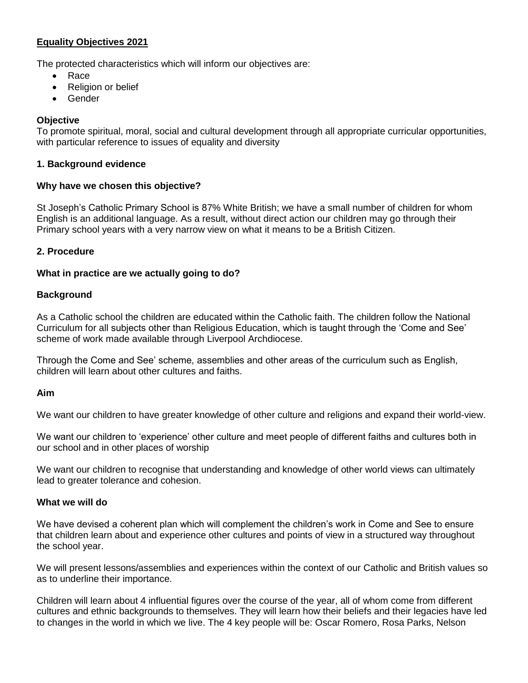# **Equality Objectives 2021**

The protected characteristics which will inform our objectives are:

- Race
- Religion or belief
- Gender

# **Objective**

To promote spiritual, moral, social and cultural development through all appropriate curricular opportunities, with particular reference to issues of equality and diversity

### **1. Background evidence**

#### **Why have we chosen this objective?**

St Joseph's Catholic Primary School is 87% White British; we have a small number of children for whom English is an additional language. As a result, without direct action our children may go through their Primary school years with a very narrow view on what it means to be a British Citizen.

# **2. Procedure**

#### **What in practice are we actually going to do?**

#### **Background**

As a Catholic school the children are educated within the Catholic faith. The children follow the National Curriculum for all subjects other than Religious Education, which is taught through the 'Come and See' scheme of work made available through Liverpool Archdiocese.

Through the Come and See' scheme, assemblies and other areas of the curriculum such as English, children will learn about other cultures and faiths.

#### **Aim**

We want our children to have greater knowledge of other culture and religions and expand their world-view.

We want our children to 'experience' other culture and meet people of different faiths and cultures both in our school and in other places of worship

We want our children to recognise that understanding and knowledge of other world views can ultimately lead to greater tolerance and cohesion.

#### **What we will do**

We have devised a coherent plan which will complement the children's work in Come and See to ensure that children learn about and experience other cultures and points of view in a structured way throughout the school year.

We will present lessons/assemblies and experiences within the context of our Catholic and British values so as to underline their importance.

Children will learn about 4 influential figures over the course of the year, all of whom come from different cultures and ethnic backgrounds to themselves. They will learn how their beliefs and their legacies have led to changes in the world in which we live. The 4 key people will be: Oscar Romero, Rosa Parks, Nelson